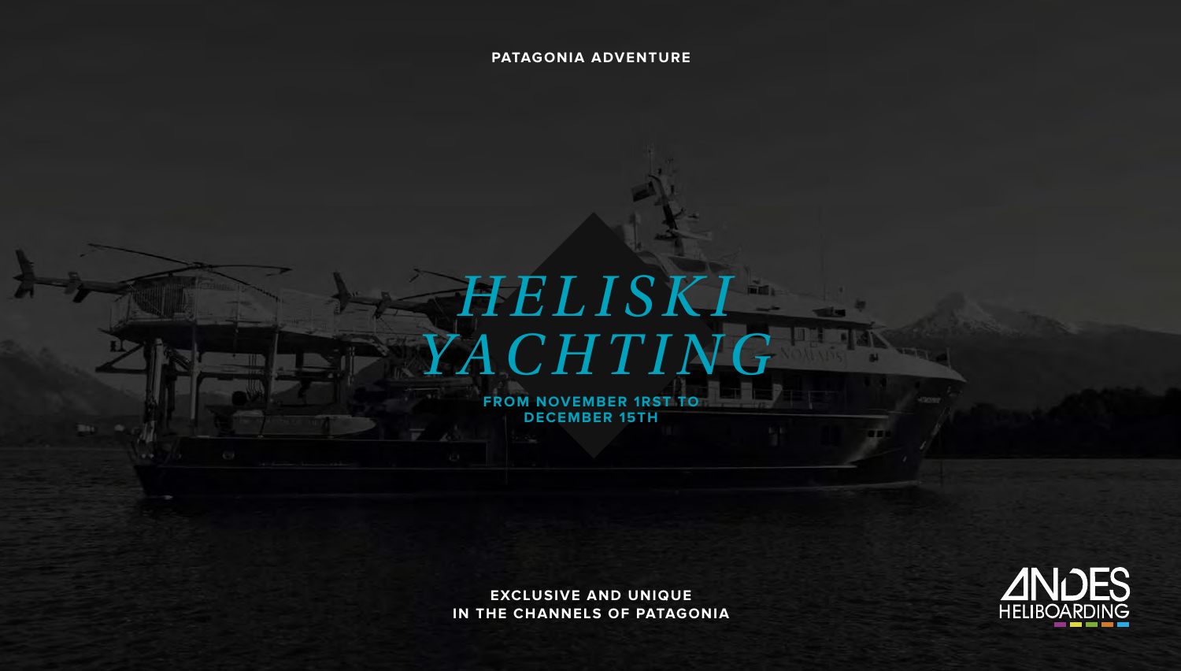**PATAGONIA ADVENTURE**

# *H E L I S K I YACHTING*

**FROM NOVEMBER 1RST TO DECEMBER 15TH** 

**EXCLUSIVE AND UNIQUE IN THE CHANNELS OF PATAGONIA**

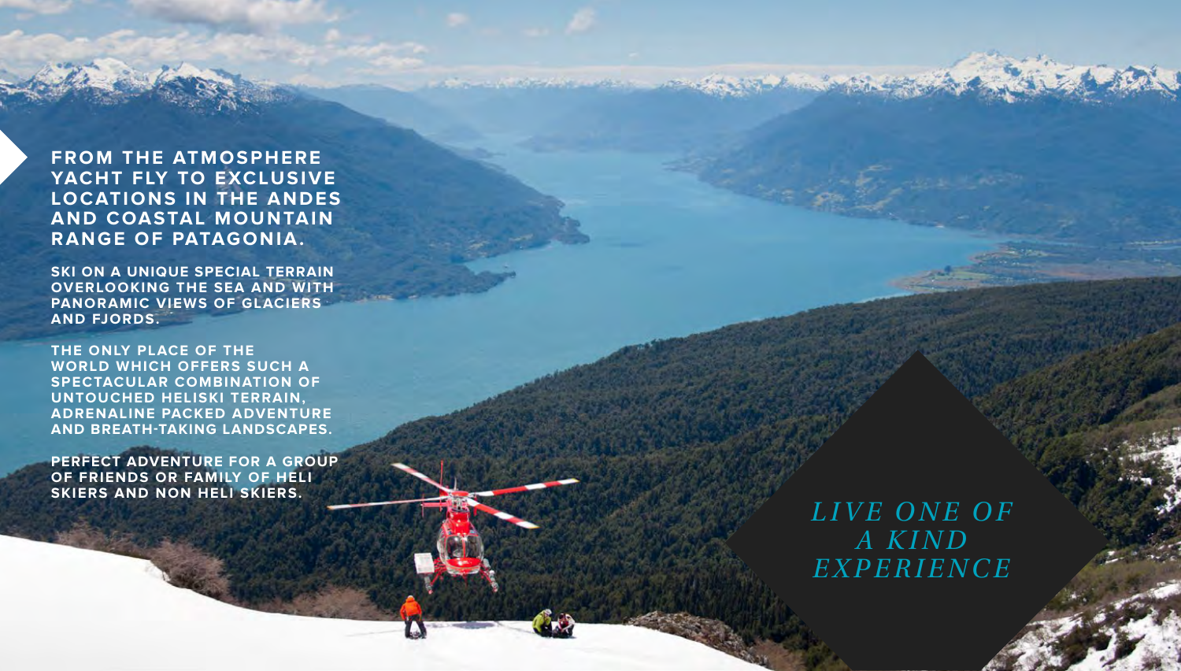# **FROM THE ATMOSPHERE YACHT FLY TO EXCLUSIVE LOCATIONS IN THE ANDES AND COASTAL MOUNTAIN RANGE OF PATAGONIA.**

**Continued American Continued Avenue** 

**SKI ON A UNIQUE SPECIAL TERRAIN OVERLOOKING THE SEA AND WITH PANORAMIC VIEWS OF GLACIERS AND FJORDS.** 

**THE ONLY PLACE OF THE WORLD WHICH OFFERS SUCH A SPECTACULAR COMBINATION OF UNTOUCHED HELISKI TERRAIN, ADRENALINE PACKED ADVENTURE AND BREATH-TAKING LANDSCAPES.**

**PERFECT ADVENTURE FOR A GROUP OF FRIENDS OR FAMILY OF HELI SKIERS AND NON HELI SKIERS.**

*L I V E O N E O F A KIND E X P E R I E N C E*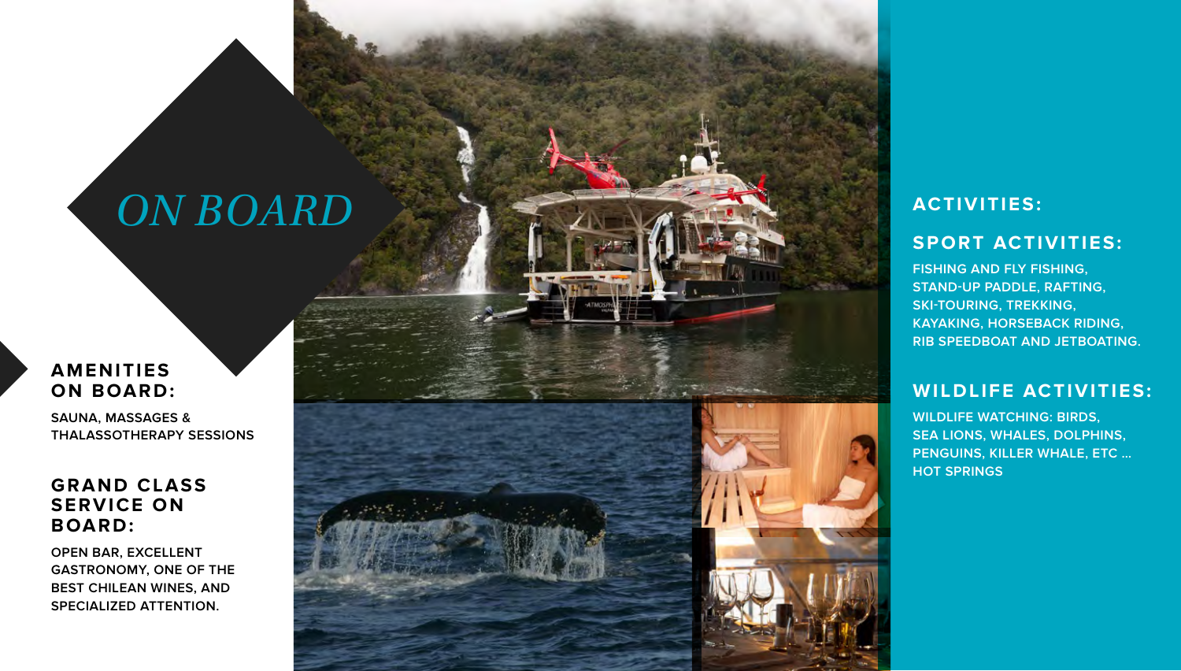# *ON BOARD*

# **AMENITIES ON BOARD:**

**SAUNA, MASSAGES & THALASSOTHERAPY SESSIONS**

# **GRAND CLASS SERVICE ON BOARD:**

**OPEN BAR, EXCELLENT GASTRONOMY, ONE OF THE BEST CHILEAN WINES, AND SPECIALIZED ATTENTION.**



# **ACTIVITIES:**

# **SPORT ACTIVITIES:**

**FISHING AND FLY FISHING, STAND-UP PADDLE, RAFTING, SKI-TOURING, TREKKING, KAYAKING, HORSEBACK RIDING, RIB SPEEDBOAT AND JETBOATING.**

# **WILDLIFE ACTIVITIES:**

**WILDLIFE WATCHING: BIRDS, SEA LIONS, WHALES, DOLPHINS, PENGUINS, KILLER WHALE, ETC … HOT SPRINGS**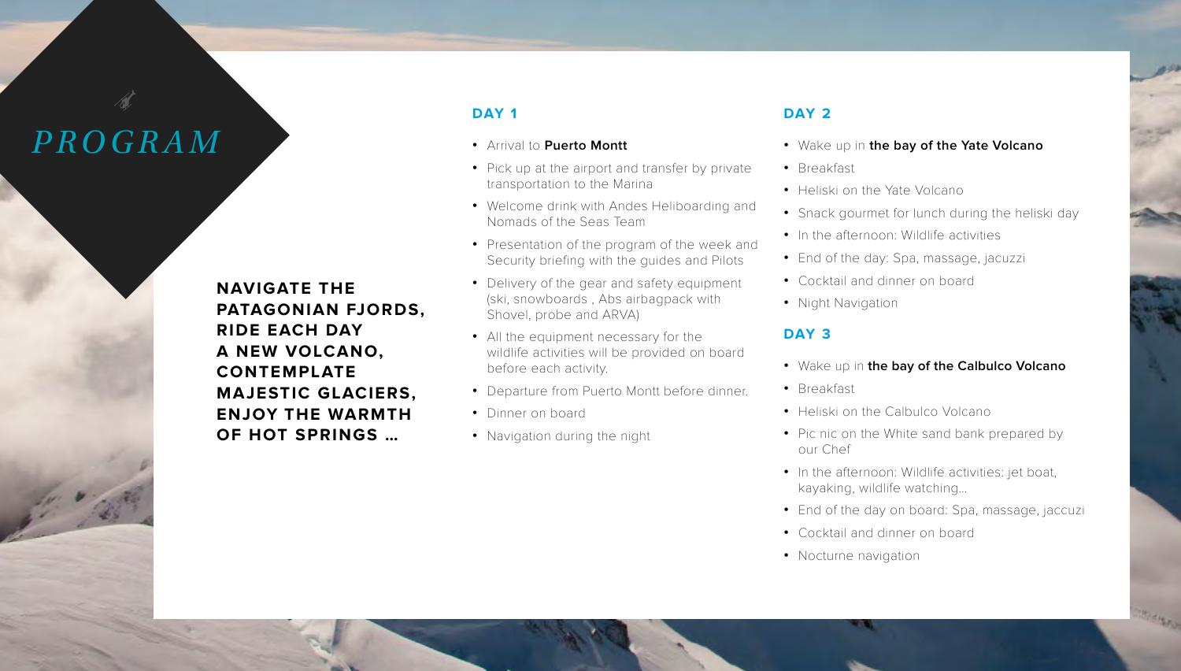# *PROGRAM*

**NAVIGATE THE PATAGONIAN FJORDS, RIDE EACH DAY A NEW VOLCANO, CONTEMPLATE MAJESTIC GLACIERS, ENJOY THE WARMTH OF HOT SPRINGS …** 

## **DAY 1**

- **•** Arrival to **Puerto Montt**
- **•** Pick up at the airport and transfer by private transportation to the Marina
- **•** Welcome drink with Andes Heliboarding and Nomads of the Seas Team
- **•** Presentation of the program of the week and Security briefing with the guides and Pilots
- **•** Delivery of the gear and safety equipment (ski, snowboards , Abs airbagpack with Shovel, probe and ARVA)
- **•** All the equipment necessary for the wildlife activities will be provided on board before each activity.
- **•** Departure from Puerto Montt before dinner.
- **•** Dinner on board
- **•** Navigation during the night

### **DAY 2**

- **•** Wake up in **the bay of the Yate Volcano**
- **•** Breakfast
- **•** Heliski on the Yate Volcano
- **•** Snack gourmet for lunch during the heliski day
- In the afternoon: Wildlife activities
- **•** End of the day: Spa, massage, jacuzzi
- **•** Cocktail and dinner on board
- **•** Night Navigation

### **DAY 3**

- **•** Wake up in **the bay of the Calbulco Volcano**
- **•** Breakfast
- **•** Heliski on the Calbulco Volcano
- **•** Pic nic on the White sand bank prepared by our Chef
- **•** In the afternoon: Wildlife activities: jet boat, kayaking, wildlife watching…
- **•** End of the day on board: Spa, massage, jaccuzi
- **•** Cocktail and dinner on board
- **•** Nocturne navigation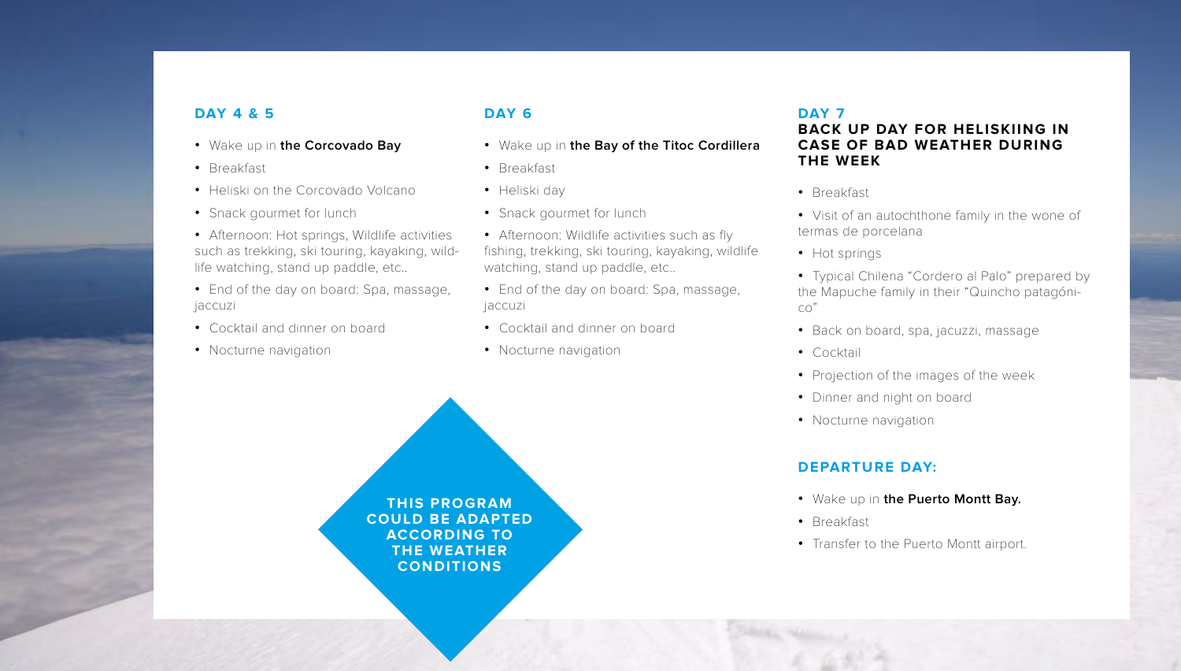# **DAY 4 & 5**

- **•** Wake up in **the Corcovado Bay**
- **•** Breakfast
- **•** Heliski on the Corcovado Volcano
- **•** Snack gourmet for lunch
- **•** Afternoon: Hot springs, Wildlife activities such as trekking, ski touring, kayaking, wildlife watching, stand up paddle, etc..
- **•** End of the day on board: Spa, massage, jaccuzi
- **•** Cocktail and dinner on board
- **•** Nocturne navigation

# **DAY 6**

- **•** Wake up in **the Bay of the Titoc Cordillera**
- **•** Breakfast
- **•** Heliski day
- **•** Snack gourmet for lunch
- **•** Afternoon: Wildlife activities such as fly fishing, trekking, ski touring, kayaking, wildlife watching, stand up paddle, etc..
- **•** End of the day on board: Spa, massage, jaccuzi
- **•** Cocktail and dinner on board
- **•** Nocturne navigation

### **DAY 7**

## **BACK UP DAY FOR HELISKIING IN CASE OF BAD WEATHER DURING THE WEEK**

- **•** Breakfast
- **•** Visit of an autochthone family in the wone of termas de porcelana
- **•** Hot springs
- **•** Typical Chilena "Cordero al Palo" prepared by the Mapuche family in their "Quincho patagónico"
- **•** Back on board, spa, jacuzzi, massage
- **•** Cocktail
- **•** Projection of the images of the week
- Dinner and night on board
- **•** Nocturne navigation

# **DEPARTURE DAY:**

- **•** Wake up in **the Puerto Montt Bay.**
- **•** Breakfast
- **•** Transfer to the Puerto Montt airport.

**THIS PROGRAM COULD BE ADAPTED ACCORDING TO THE WEATHER CONDITIONS**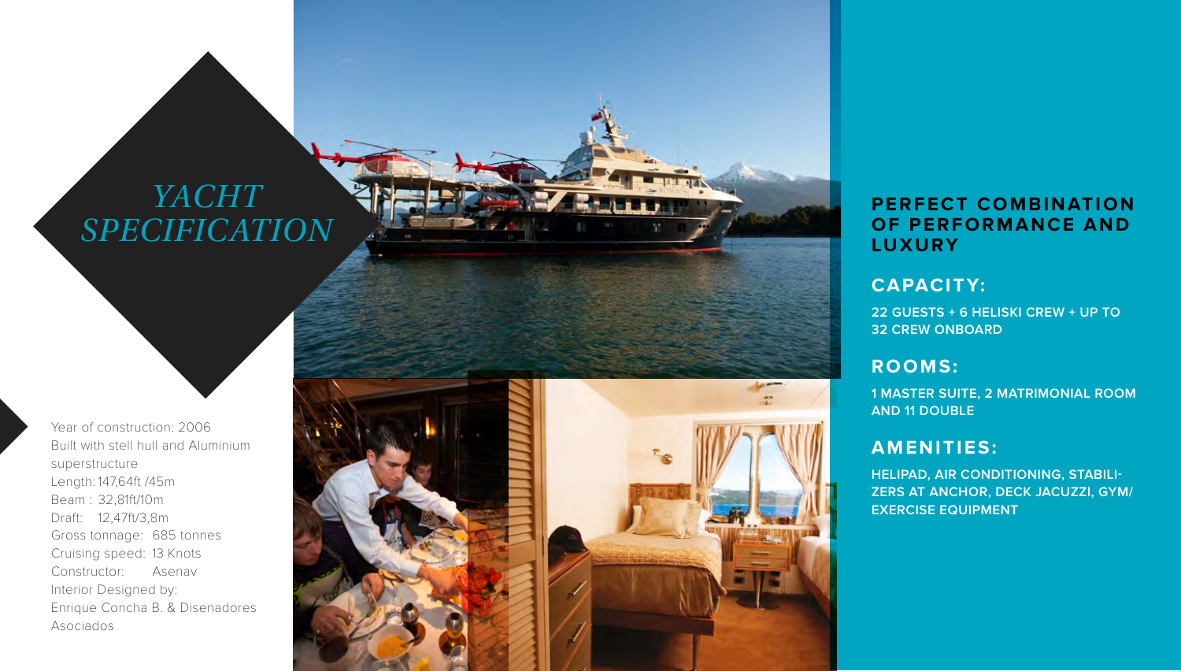# *YACHT SPECIFICATION*

Year of construction: 2006 Built with stell hull and Aluminium superstructure Length: 147,64ft /45m Beam : 32,81ft/10m Draft: 12,47ft/3,8m Gross tonnage: 685 tonnes Cruising speed: 13 Knots Constructor: Asenav Interior Designed by: Enrique Concha B. & Disenadores Asociados





# **PERFECT COMBINATION OF PERFORMANCE AND LUXURY**

# **CAPACITY:**

**22 GUESTS + 6 HELISKI CREW + UP TO 32 CREW ONBOARD**

# **ROOMS:**

**1 MASTER SUITE, 2 MATRIMONIAL ROOM AND 11 DOUBLE**

# **AMENITIES:**

**HELIPAD, AIR CONDITIONING, STABILI - ZERS AT ANCHOR, DECK JACUZZI, GYM/ EXERCISE EQUIPMENT**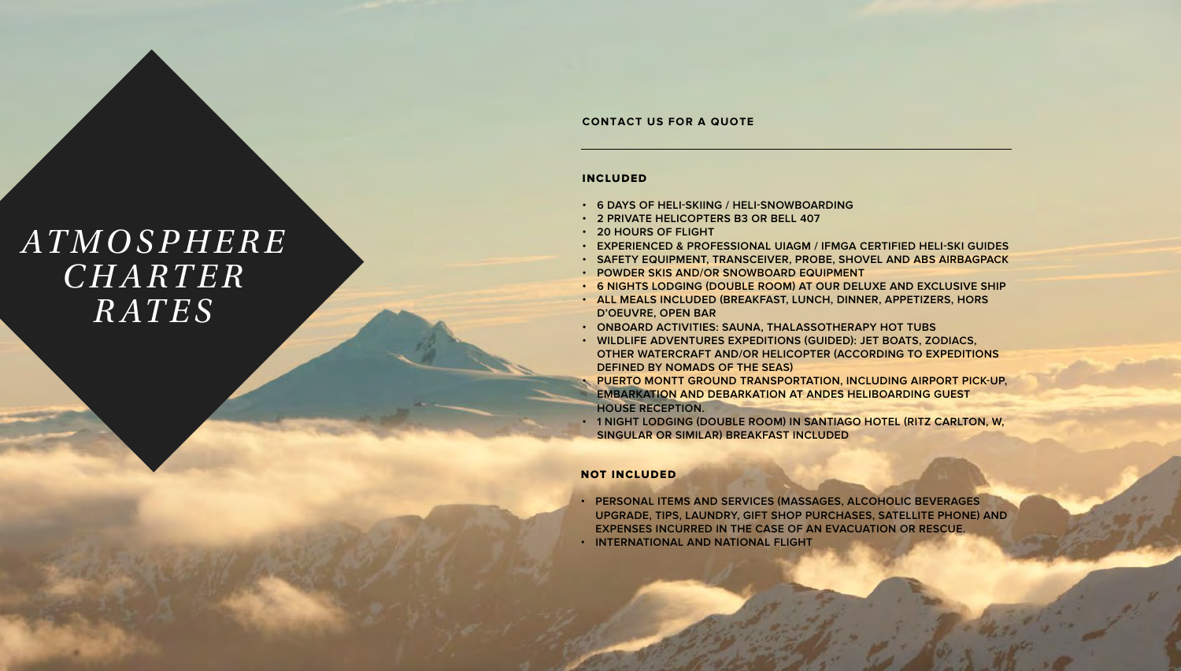#### **CONTACT US FOR A QUOTE**

# *AT M O S P H E R E C H A R T E R RATES*

#### INCLUDED

- **• 6 DAYS OF HELI-SKIING / HELI-SNOWBOARDING**
- **• 2 PRIVATE HELICOPTERS B3 OR BELL 407**
- **• 20 HOURS OF FLIGHT**
- **• EXPERIENCED & PROFESSIONAL UIAGM / IFMGA CERTIFIED HELI-SKI GUIDES**
- **• SAFETY EQUIPMENT, TRANSCEIVER, PROBE, SHOVEL AND ABS AIRBAGPACK**
- **• POWDER SKIS AND/OR SNOWBOARD EQUIPMENT**
- **• 6 NIGHTS LODGING (DOUBLE ROOM) AT OUR DELUXE AND EXCLUSIVE SHIP**
- **• ALL MEALS INCLUDED (BREAKFAST, LUNCH, DINNER, APPETIZERS, HORS D'OEUVRE, OPEN BAR**
- **• ONBOARD ACTIVITIES: SAUNA, THALASSOTHERAPY HOT TUBS**
- **• WILDLIFE ADVENTURES EXPEDITIONS (GUIDED): JET BOATS, ZODIACS, OTHER WATERCRAFT AND/OR HELICOPTER (ACCORDING TO EXPEDITIONS DEFINED BY NOMADS OF THE SEAS)**
- **• PUERTO MONTT GROUND TRANSPORTATION, INCLUDING AIRPORT PICK-UP, EMBARKATION AND DEBARKATION AT ANDES HELIBOARDING GUEST HOUSE RECEPTION.**
- **• 1 NIGHT LODGING (DOUBLE ROOM) IN SANTIAGO HOTEL (RITZ CARLTON, W, SINGULAR OR SIMILAR) BREAKFAST INCLUDED**

#### NOT INCLUDED

- **• PERSONAL ITEMS AND SERVICES (MASSAGES, ALCOHOLIC BEVERAGES UPGRADE, TIPS, LAUNDRY, GIFT SHOP PURCHASES, SATELLITE PHONE) AND EXPENSES INCURRED IN THE CASE OF AN EVACUATION OR RESCUE.**
- **• INTERNATIONAL AND NATIONAL FLIGHT**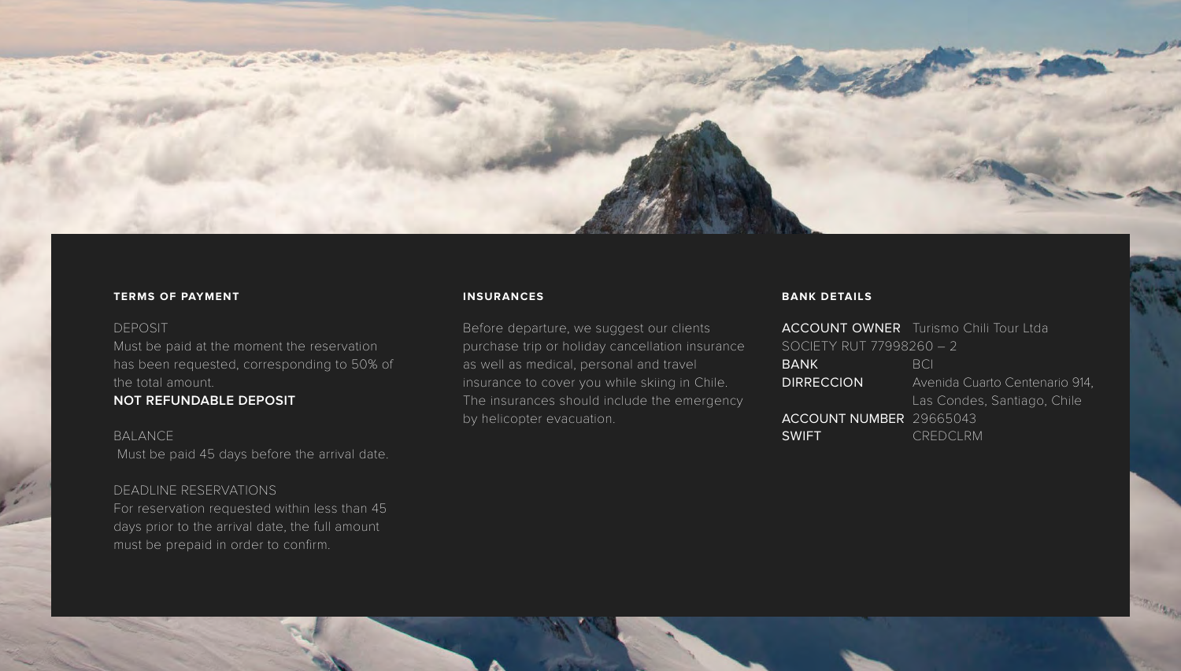

### **TERMS OF PAYMENT**

### DEPOSIT

Must be paid at the moment the reservation has been requested, corresponding to 50% of the total amount.

### **NOT REFUNDABLE DEPOSIT**

**BALANCE** Must be paid 45 days before the arrival date.

### DEADLINE RESERVATIONS

For reservation requested within less than 45 days prior to the arrival date, the full amount must be prepaid in order to confirm.

### **INSURANCES**

Before departure, we suggest our clients purchase trip or holiday cancellation insurance as well as medical, personal and travel insurance to cover you while skiing in Chile. The insurances should include the emergency by helicopter evacuation.

### **BANK DETAILS**

|                                | <b>ACCOUNT OWNER</b> Turismo Chili Tour Ltda |
|--------------------------------|----------------------------------------------|
| SOCIETY RUT 77998260 - 2       |                                              |
| $BA\overline{NK}$              | <b>BCI</b>                                   |
| <b>DIRRECCION</b>              | Avenida Cuarto Centenario 914,               |
|                                | Las Condes, Santiago, Chile                  |
| <b>ACCOUNT NUMBER 29665043</b> |                                              |
| <b>SWIFT</b>                   | <b>CREDCLRM</b>                              |